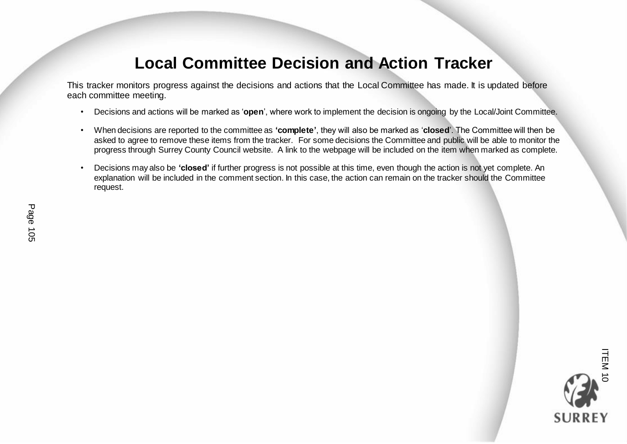## **Local Committee Decision and Action Tracker**

This tracker monitors progress against the decisions and actions that the Local Committee has made. It is updated before each committee meeting.

- Decisions and actions will be marked as '**open**', where work to implement the decision is ongoing by the Local/Joint Committee.
- When decisions are reported to the committee as **'complete'**, they will also be marked as '**closed**'. The Committee will then be asked to agree to remove these items from the tracker. For some decisions the Committee and public will be able to monitor the progress through Surrey County Council website. A link to the webpage will be included on the item when marked as complete.
- Decisions may also be **'closed'** if further progress is not possible at this time, even though the action is not yet complete. An explanation will be included in the comment section. In this case, the action can remain on the tracker should the Committee request.